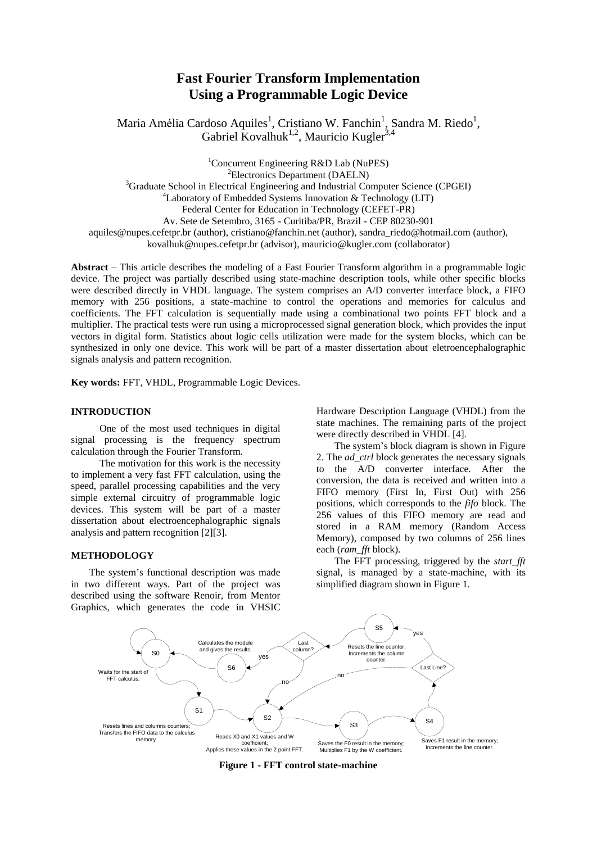# **Fast Fourier Transform Implementation Using a Programmable Logic Device**

Maria Amélia Cardoso Aquiles<sup>1</sup>, Cristiano W. Fanchin<sup>1</sup>, Sandra M. Riedo<sup>1</sup>, Gabriel Kovalhuk<sup>1,2</sup>, Mauricio Kugler<sup>3,4</sup>

<sup>1</sup>Concurrent Engineering R&D Lab (NuPES) <sup>2</sup>Electronics Department (DAELN) <sup>3</sup>Graduate School in Electrical Engineering and Industrial Computer Science (CPGEI) <sup>4</sup>Laboratory of Embedded Systems Innovation  $\&$  Technology (LIT) Federal Center for Education in Technology (CEFET-PR) Av. Sete de Setembro, 3165 - Curitiba/PR, Brazil - CEP 80230-901 aquiles@nupes.cefetpr.br (author), cristiano@fanchin.net (author), sandra\_riedo@hotmail.com (author), kovalhuk@nupes.cefetpr.br (advisor), mauricio@kugler.com (collaborator)

**Abstract** – This article describes the modeling of a Fast Fourier Transform algorithm in a programmable logic device. The project was partially described using state-machine description tools, while other specific blocks were described directly in VHDL language. The system comprises an A/D converter interface block, a FIFO memory with 256 positions, a state-machine to control the operations and memories for calculus and coefficients. The FFT calculation is sequentially made using a combinational two points FFT block and a multiplier. The practical tests were run using a microprocessed signal generation block, which provides the input vectors in digital form. Statistics about logic cells utilization were made for the system blocks, which can be synthesized in only one device. This work will be part of a master dissertation about eletroencephalographic signals analysis and pattern recognition.

**Key words:** FFT, VHDL, Programmable Logic Devices.

#### **INTRODUCTION**

One of the most used techniques in digital signal processing is the frequency spectrum calculation through the Fourier Transform.

The motivation for this work is the necessity to implement a very fast FFT calculation, using the speed, parallel processing capabilities and the very simple external circuitry of programmable logic devices. This system will be part of a master dissertation about electroencephalographic signals analysis and pattern recognition [2][3].

#### **METHODOLOGY**

The system's functional description was made in two different ways. Part of the project was described using the software Renoir, from Mentor Graphics, which generates the code in VHSIC Hardware Description Language (VHDL) from the state machines. The remaining parts of the project were directly described in VHDL [4].

The system's block diagram is shown in Figure 2. The *ad\_ctrl* block generates the necessary signals to the A/D converter interface. After the conversion, the data is received and written into a FIFO memory (First In, First Out) with 256 positions, which corresponds to the *fifo* block*.* The 256 values of this FIFO memory are read and stored in a RAM memory (Random Access Memory), composed by two columns of 256 lines each (*ram\_fft* block).

The FFT processing, triggered by the *start\_fft*  signal, is managed by a state-machine, with its simplified diagram shown in Figure 1.



**Figure 1 - FFT control state-machine**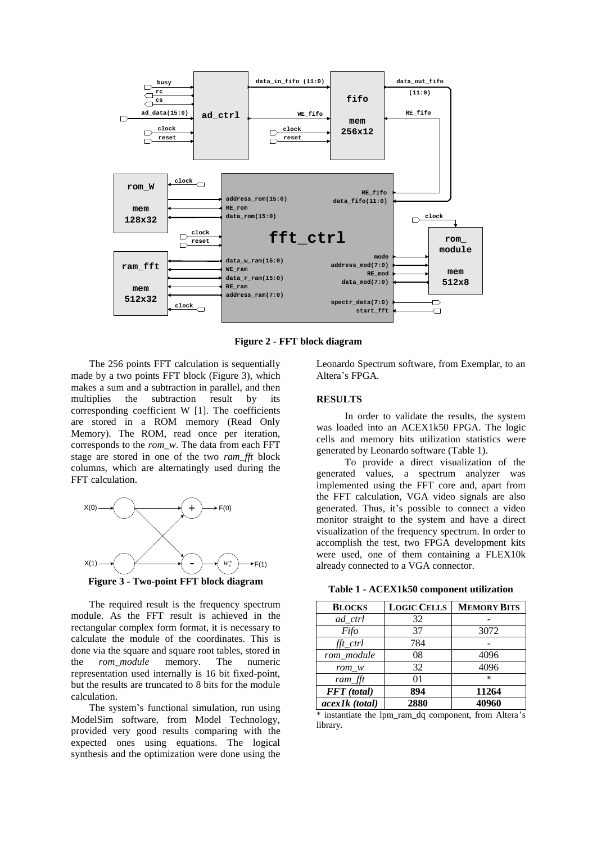

**Figure 2 - FFT block diagram**

The 256 points FFT calculation is sequentially made by a two points FFT block (Figure 3), which makes a sum and a subtraction in parallel, and then multiplies the subtraction result by its corresponding coefficient W [1]. The coefficients are stored in a ROM memory (Read Only Memory). The ROM, read once per iteration, corresponds to the *rom\_w*. The data from each FFT stage are stored in one of the two *ram\_fft* block columns, which are alternatingly used during the FFT calculation.



**Figure 3 - Two-point FFT block diagram**

The required result is the frequency spectrum module. As the FFT result is achieved in the rectangular complex form format, it is necessary to calculate the module of the coordinates. This is done via the square and square root tables, stored in the *rom\_module* memory. The numeric representation used internally is 16 bit fixed-point, but the results are truncated to 8 bits for the module calculation.

The system's functional simulation, run using ModelSim software, from Model Technology, provided very good results comparing with the expected ones using equations. The logical synthesis and the optimization were done using the

Leonardo Spectrum software, from Exemplar, to an Altera's FPGA.

#### **RESULTS**

In order to validate the results, the system was loaded into an ACEX1k50 FPGA. The logic cells and memory bits utilization statistics were generated by Leonardo software (Table 1).

To provide a direct visualization of the generated values, a spectrum analyzer was implemented using the FFT core and, apart from the FFT calculation, VGA video signals are also generated. Thus, it's possible to connect a video monitor straight to the system and have a direct visualization of the frequency spectrum. In order to accomplish the test, two FPGA development kits were used, one of them containing a FLEX10k already connected to a VGA connector.

**Table 1 - ACEX1k50 component utilization**

| <b>BLOCKS</b>      | <b>LOGIC CELLS</b> | <b>MEMORY BITS</b> |
|--------------------|--------------------|--------------------|
| ad_ctrl            | 32                 |                    |
| Fifo               | 37                 | 3072               |
| $\int f(t)$        | 784                |                    |
| rom module         | 08                 | 4096               |
| rom w              | 32                 | 4096               |
| ram_fft            | 01                 | $\ast$             |
| <b>FFT</b> (total) | 894                | 11264              |
| acex1k (total)     | 2880               | 40960              |

\* instantiate the lpm\_ram\_dq component, from Altera's library.